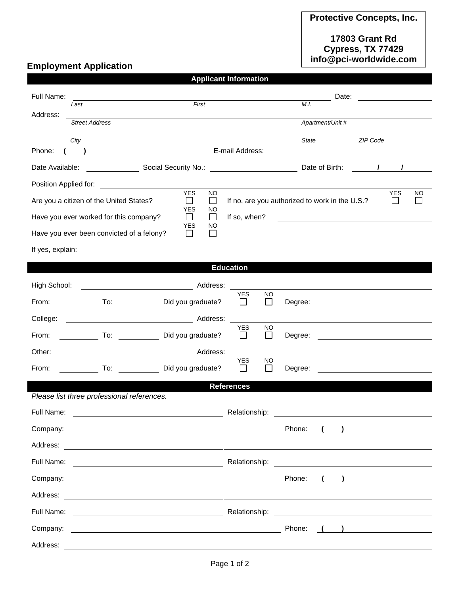## **17803 Grant Rd Cypress, TX 77429 info@pci-worldwide.com**

## **Employment Application**

**Applicant Information**

| Full Name:                                                                                                                         | Date:<br><u> 1989 - Johann Harry Barn, mars a</u>                                                                                                                                                                                    |  |
|------------------------------------------------------------------------------------------------------------------------------------|--------------------------------------------------------------------------------------------------------------------------------------------------------------------------------------------------------------------------------------|--|
| First<br>Last<br>Address:                                                                                                          | M.I.                                                                                                                                                                                                                                 |  |
| <b>Street Address</b>                                                                                                              | Apartment/Unit #                                                                                                                                                                                                                     |  |
| City                                                                                                                               | State<br>ZIP Code                                                                                                                                                                                                                    |  |
| E-mail Address:<br>$\overline{\phantom{a}}$<br>Phone:<br><u> 1980 - Jan James James Barbara, president e</u>                       |                                                                                                                                                                                                                                      |  |
|                                                                                                                                    |                                                                                                                                                                                                                                      |  |
| <b>YES</b>                                                                                                                         |                                                                                                                                                                                                                                      |  |
| <b>NO</b><br>Are you a citizen of the United States?<br>$\mathbf{I}$<br>$\mathsf{L}$<br><b>YES</b><br>NO                           | <b>YES</b><br>NO<br>If no, are you authorized to work in the U.S.?<br>$\mathbf{I}$                                                                                                                                                   |  |
| Have you ever worked for this company?<br>$\mathsf{L}$<br>$\perp$<br><b>YES</b><br>NO.                                             | If so, when?<br><u> 1980 - Antonio Alemania, prima postala prima prima prima prima prima prima prima prima prima prima prima pri</u>                                                                                                 |  |
| $\Box$<br>Have you ever been convicted of a felony?<br>$\mathsf{L}$                                                                |                                                                                                                                                                                                                                      |  |
|                                                                                                                                    |                                                                                                                                                                                                                                      |  |
| <b>Education</b>                                                                                                                   |                                                                                                                                                                                                                                      |  |
| High School:<br>Address:                                                                                                           |                                                                                                                                                                                                                                      |  |
| To: Did you graduate?<br>From:                                                                                                     | <b>YES</b><br><b>NO</b><br>$\Box$<br>$\Box$<br>Degree:                                                                                                                                                                               |  |
|                                                                                                                                    |                                                                                                                                                                                                                                      |  |
| Did you graduate?<br>From:                                                                                                         | <b>YES</b><br>NO.<br>$\Box$<br>$\perp$<br>Degree:                                                                                                                                                                                    |  |
| Other:                                                                                                                             |                                                                                                                                                                                                                                      |  |
| From:<br>To: Did you graduate?                                                                                                     | <b>YES</b><br>NO<br>$\perp$<br>$\mathsf{L}$<br>Degree:<br><u> 1989 - John Stone, Amerikaansk politiker (</u>                                                                                                                         |  |
| <b>References</b>                                                                                                                  |                                                                                                                                                                                                                                      |  |
| Please list three professional references.                                                                                         |                                                                                                                                                                                                                                      |  |
| Full Name:                                                                                                                         | Relationship:                                                                                                                                                                                                                        |  |
| Company:<br><u> 1989 - Johann Stoff, deutscher Stoffen und der Stoffen und der Stoffen und der Stoffen und der Stoffen und der</u> | Phone:                                                                                                                                                                                                                               |  |
|                                                                                                                                    |                                                                                                                                                                                                                                      |  |
|                                                                                                                                    |                                                                                                                                                                                                                                      |  |
| Company:                                                                                                                           | Phone:<br>$\left(\begin{array}{cc} 1 & 1 \end{array}\right)$                                                                                                                                                                         |  |
|                                                                                                                                    |                                                                                                                                                                                                                                      |  |
|                                                                                                                                    | Full Name: <u>example and the set of the set of the set of the set of the set of the set of the set of the set of the set of the set of the set of the set of the set of the set of the set of the set of the set of the set of </u> |  |
| Company:<br><u> 1980 - Andrea Barbara, poeta esperanto-poeta esperanto-poeta esperanto-poeta esperanto-poeta esperanto-poeta</u>   | Phone:<br>) <u>_______________</u>                                                                                                                                                                                                   |  |
|                                                                                                                                    |                                                                                                                                                                                                                                      |  |